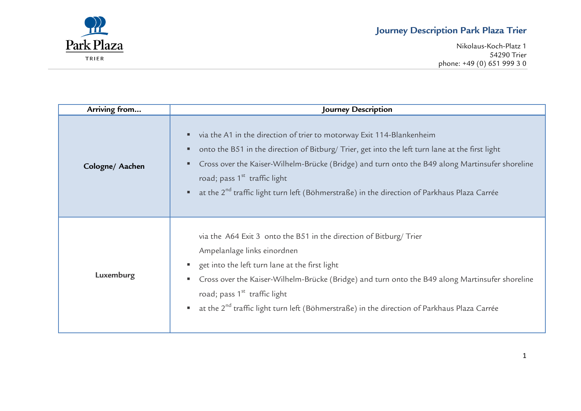Nikolaus-Koch-Platz 1 54290 Trier phone: +49 (0) 651 999 3 0



| Arriving from   | Journey Description                                                                                                                                                                                                                                                                                                                                                                                                      |
|-----------------|--------------------------------------------------------------------------------------------------------------------------------------------------------------------------------------------------------------------------------------------------------------------------------------------------------------------------------------------------------------------------------------------------------------------------|
| Cologne/ Aachen | via the A1 in the direction of trier to motorway Exit 114-Blankenheim<br>onto the B51 in the direction of Bitburg/ Trier, get into the left turn lane at the first light<br>Cross over the Kaiser-Wilhelm-Brücke (Bridge) and turn onto the B49 along Martinsufer shoreline<br>road; pass $1st$ traffic light<br>at the 2 <sup>nd</sup> traffic light turn left (Böhmerstraße) in the direction of Parkhaus Plaza Carrée |
| Luxemburg       | via the A64 Exit 3 onto the B51 in the direction of Bitburg/ Trier<br>Ampelanlage links einordnen<br>get into the left turn lane at the first light<br>Cross over the Kaiser-Wilhelm-Brücke (Bridge) and turn onto the B49 along Martinsufer shoreline<br>road; pass 1 <sup>st</sup> traffic light<br>at the 2 <sup>nd</sup> traffic light turn left (Böhmerstraße) in the direction of Parkhaus Plaza Carrée            |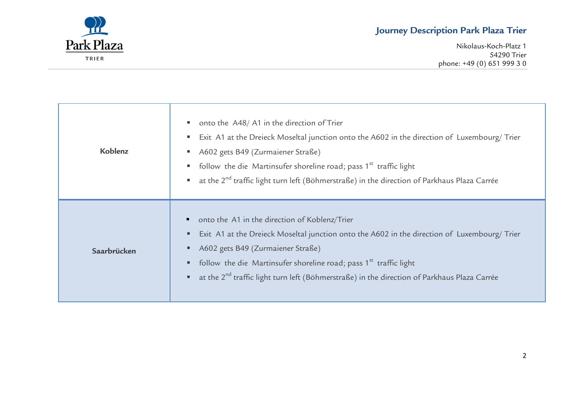

Nikolaus-Koch-Platz 1 54290 Trier phone: +49 (0) 651 999 3 0

| Koblenz     | onto the A48/A1 in the direction of Trier<br>Exit A1 at the Dreieck Moseltal junction onto the A602 in the direction of Luxembourg/ Trier<br>A602 gets B49 (Zurmaiener Straße)<br>follow the die Martinsufer shoreline road; pass 1 <sup>st</sup> traffic light<br>at the 2 <sup>nd</sup> traffic light turn left (Böhmerstraße) in the direction of Parkhaus Plaza Carrée     |
|-------------|--------------------------------------------------------------------------------------------------------------------------------------------------------------------------------------------------------------------------------------------------------------------------------------------------------------------------------------------------------------------------------|
| Saarbrücken | onto the A1 in the direction of Koblenz/Trier<br>Exit A1 at the Dreieck Moseltal junction onto the A602 in the direction of Luxembourg/ Trier<br>A602 gets B49 (Zurmaiener Straße)<br>follow the die Martinsufer shoreline road; pass 1 <sup>st</sup> traffic light<br>at the 2 <sup>nd</sup> traffic light turn left (Böhmerstraße) in the direction of Parkhaus Plaza Carrée |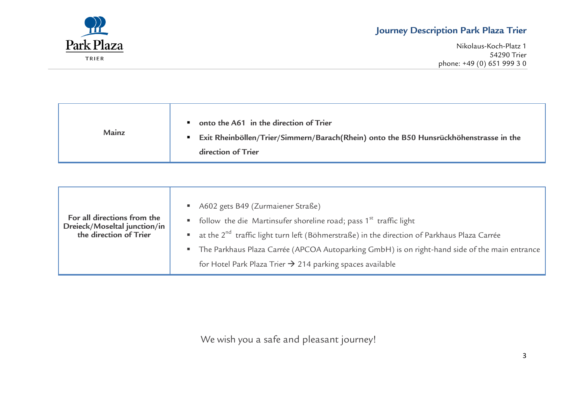

Nikolaus-Koch-Platz 1 54290 Trier phone: +49 (0) 651 999 3 0

| Mainz | onto the A61 in the direction of Trier<br>Exit Rheinböllen/Trier/Simmern/Barach(Rhein) onto the B50 Hunsrückhöhenstrasse in the<br>direction of Trier |
|-------|-------------------------------------------------------------------------------------------------------------------------------------------------------|
|       |                                                                                                                                                       |

| A602 gets B49 (Zurmaiener Straße)<br>For all directions from the<br>follow the die Martinsufer shoreline road; pass 1 <sup>st</sup> traffic light<br>Dreieck/Moseltal junction/in<br>at the 2 <sup>nd</sup> traffic light turn left (Böhmerstraße) in the direction of Parkhaus Plaza Carrée<br>the direction of Trier<br>The Parkhaus Plaza Carrée (APCOA Autoparking GmbH) is on right-hand side of the main entrance<br>for Hotel Park Plaza Trier $\rightarrow$ 214 parking spaces available |  |
|--------------------------------------------------------------------------------------------------------------------------------------------------------------------------------------------------------------------------------------------------------------------------------------------------------------------------------------------------------------------------------------------------------------------------------------------------------------------------------------------------|--|
|--------------------------------------------------------------------------------------------------------------------------------------------------------------------------------------------------------------------------------------------------------------------------------------------------------------------------------------------------------------------------------------------------------------------------------------------------------------------------------------------------|--|

We wish you a safe and pleasant journey!